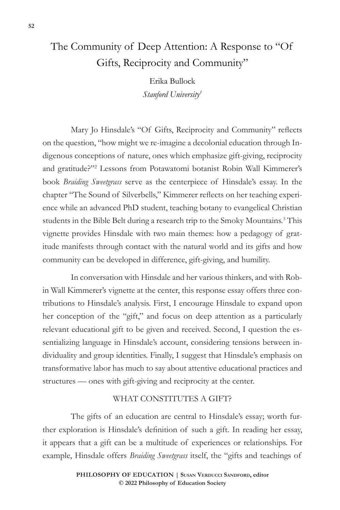# The Community of Deep Attention: A Response to "Of Gifts, Reciprocity and Community"

Erika Bullock *Stanford University1*

Mary Jo Hinsdale's "Of Gifts, Reciprocity and Community" reflects on the question, "how might we re-imagine a decolonial education through Indigenous conceptions of nature, ones which emphasize gift-giving, reciprocity and gratitude?"2 Lessons from Potawatomi botanist Robin Wall Kimmerer's book *Braiding Sweetgrass* serve as the centerpiece of Hinsdale's essay. In the chapter "The Sound of Silverbells," Kimmerer reflects on her teaching experience while an advanced PhD student, teaching botany to evangelical Christian students in the Bible Belt during a research trip to the Smoky Mountains.<sup>3</sup> This vignette provides Hinsdale with two main themes: how a pedagogy of gratitude manifests through contact with the natural world and its gifts and how community can be developed in difference, gift-giving, and humility.

In conversation with Hinsdale and her various thinkers, and with Robin Wall Kimmerer's vignette at the center, this response essay offers three contributions to Hinsdale's analysis. First, I encourage Hinsdale to expand upon her conception of the "gift," and focus on deep attention as a particularly relevant educational gift to be given and received. Second, I question the essentializing language in Hinsdale's account, considering tensions between individuality and group identities. Finally, I suggest that Hinsdale's emphasis on transformative labor has much to say about attentive educational practices and structures — ones with gift-giving and reciprocity at the center.

## WHAT CONSTITUTES A GIFT?

The gifts of an education are central to Hinsdale's essay; worth further exploration is Hinsdale's definition of such a gift. In reading her essay, it appears that a gift can be a multitude of experiences or relationships. For example, Hinsdale offers *Braiding Sweetgrass* itself, the "gifts and teachings of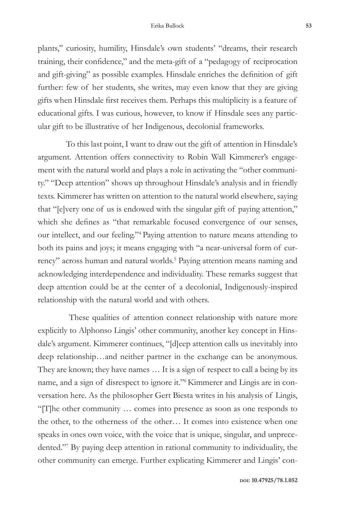plants," curiosity, humility, Hinsdale's own students' "dreams, their research training, their confidence," and the meta-gift of a "pedagogy of reciprocation and gift-giving" as possible examples. Hinsdale enriches the definition of gift further: few of her students, she writes, may even know that they are giving gifts when Hinsdale first receives them. Perhaps this multiplicity is a feature of educational gifts. I was curious, however, to know if Hinsdale sees any particular gift to be illustrative of her Indigenous, decolonial frameworks.

To this last point, I want to draw out the gift of attention in Hinsdale's argument. Attention offers connectivity to Robin Wall Kimmerer's engagement with the natural world and plays a role in activating the "other community." "Deep attention" shows up throughout Hinsdale's analysis and in friendly texts. Kimmerer has written on attention to the natural world elsewhere, saying that "[e]very one of us is endowed with the singular gift of paying attention," which she defines as "that remarkable focused convergence of our senses, our intellect, and our feeling."4 Paying attention to nature means attending to both its pains and joys; it means engaging with "a near-universal form of currency" across human and natural worlds.<sup>5</sup> Paying attention means naming and acknowledging interdependence and individuality. These remarks suggest that deep attention could be at the center of a decolonial, Indigenously-inspired relationship with the natural world and with others.

 These qualities of attention connect relationship with nature more explicitly to Alphonso Lingis' other community, another key concept in Hinsdale's argument. Kimmerer continues, "[d]eep attention calls us inevitably into deep relationship…and neither partner in the exchange can be anonymous. They are known; they have names … It is a sign of respect to call a being by its name, and a sign of disrespect to ignore it."6Kimmerer and Lingis are in conversation here. As the philosopher Gert Biesta writes in his analysis of Lingis, "[T]he other community … comes into presence as soon as one responds to the other, to the otherness of the other… It comes into existence when one speaks in ones own voice, with the voice that is unique, singular, and unprecedented."7 By paying deep attention in rational community to individuality, the other community can emerge. Further explicating Kimmerer and Lingis' con-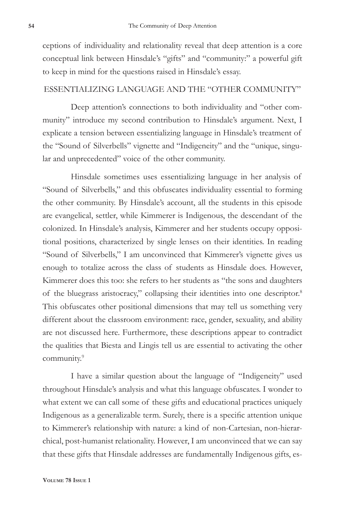ceptions of individuality and relationality reveal that deep attention is a core conceptual link between Hinsdale's "gifts" and "community:" a powerful gift to keep in mind for the questions raised in Hinsdale's essay.

#### ESSENTIALIZING LANGUAGE AND THE "OTHER COMMUNITY"

Deep attention's connections to both individuality and "other community" introduce my second contribution to Hinsdale's argument. Next, I explicate a tension between essentializing language in Hinsdale's treatment of the "Sound of Silverbells" vignette and "Indigeneity" and the "unique, singular and unprecedented" voice of the other community.

Hinsdale sometimes uses essentializing language in her analysis of "Sound of Silverbells," and this obfuscates individuality essential to forming the other community. By Hinsdale's account, all the students in this episode are evangelical, settler, while Kimmerer is Indigenous, the descendant of the colonized. In Hinsdale's analysis, Kimmerer and her students occupy oppositional positions, characterized by single lenses on their identities. In reading "Sound of Silverbells," I am unconvinced that Kimmerer's vignette gives us enough to totalize across the class of students as Hinsdale does. However, Kimmerer does this too: she refers to her students as "the sons and daughters of the bluegrass aristocracy," collapsing their identities into one descriptor.8 This obfuscates other positional dimensions that may tell us something very different about the classroom environment: race, gender, sexuality, and ability are not discussed here. Furthermore, these descriptions appear to contradict the qualities that Biesta and Lingis tell us are essential to activating the other community.<sup>9</sup>

I have a similar question about the language of "Indigeneity" used throughout Hinsdale's analysis and what this language obfuscates. I wonder to what extent we can call some of these gifts and educational practices uniquely Indigenous as a generalizable term. Surely, there is a specific attention unique to Kimmerer's relationship with nature: a kind of non-Cartesian, non-hierarchical, post-humanist relationality. However, I am unconvinced that we can say that these gifts that Hinsdale addresses are fundamentally Indigenous gifts, es-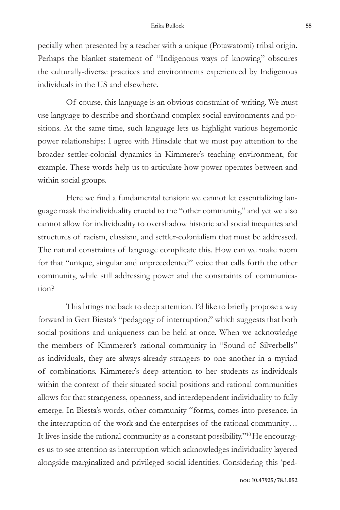pecially when presented by a teacher with a unique (Potawatomi) tribal origin. Perhaps the blanket statement of "Indigenous ways of knowing" obscures the culturally-diverse practices and environments experienced by Indigenous individuals in the US and elsewhere.

Of course, this language is an obvious constraint of writing. We must use language to describe and shorthand complex social environments and positions. At the same time, such language lets us highlight various hegemonic power relationships: I agree with Hinsdale that we must pay attention to the broader settler-colonial dynamics in Kimmerer's teaching environment, for example. These words help us to articulate how power operates between and within social groups.

Here we find a fundamental tension: we cannot let essentializing language mask the individuality crucial to the "other community," and yet we also cannot allow for individuality to overshadow historic and social inequities and structures of racism, classism, and settler-colonialism that must be addressed. The natural constraints of language complicate this. How can we make room for that "unique, singular and unprecedented" voice that calls forth the other community, while still addressing power and the constraints of communication?

This brings me back to deep attention. I'd like to briefly propose a way forward in Gert Biesta's "pedagogy of interruption," which suggests that both social positions and uniqueness can be held at once. When we acknowledge the members of Kimmerer's rational community in "Sound of Silverbells" as individuals, they are always-already strangers to one another in a myriad of combinations. Kimmerer's deep attention to her students as individuals within the context of their situated social positions and rational communities allows for that strangeness, openness, and interdependent individuality to fully emerge. In Biesta's words, other community "forms, comes into presence, in the interruption of the work and the enterprises of the rational community… It lives inside the rational community as a constant possibility."<sup>10</sup>He encourages us to see attention as interruption which acknowledges individuality layered alongside marginalized and privileged social identities. Considering this 'ped-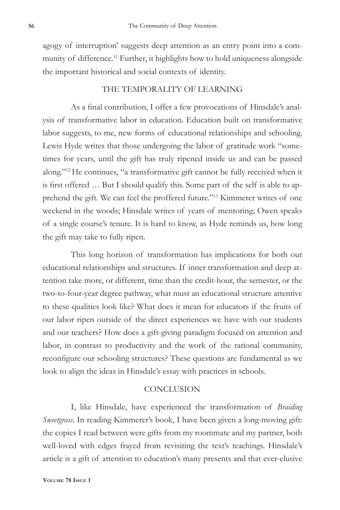agogy of interruption' suggests deep attention as an entry point into a community of difference.<sup>11</sup> Further, it highlights how to hold uniqueness alongside the important historical and social contexts of identity.

## THE TEMPORALITY OF LEARNING

As a final contribution, I offer a few provocations of Hinsdale's analysis of transformative labor in education. Education built on transformative labor suggests, to me, new forms of educational relationships and schooling. Lewis Hyde writes that those undergoing the labor of gratitude work "sometimes for years, until the gift has truly ripened inside us and can be passed along."12 He continues, "a transformative gift cannot be fully received when it is first offered … But I should qualify this. Some part of the self is able to apprehend the gift. We can feel the proffered future."13 Kimmerer writes of one weekend in the woods; Hinsdale writes of years of mentoring; Owen speaks of a single course's tenure. It is hard to know, as Hyde reminds us, how long the gift may take to fully ripen.

This long horizon of transformation has implications for both our educational relationships and structures. If inner transformation and deep attention take more, or different, time than the credit-hour, the semester, or the two-to-four-year degree pathway, what must an educational structure attentive to these qualities look like? What does it mean for educators if the fruits of our labor ripen outside of the direct experiences we have with our students and our teachers? How does a gift-giving paradigm focused on attention and labor, in contrast to productivity and the work of the rational community, reconfigure our schooling structures? These questions are fundamental as we look to align the ideas in Hinsdale's essay with practices in schools.

### **CONCLUSION**

I, like Hinsdale, have experienced the transformation of *Braiding Sweetgrass*. In reading Kimmerer's book, I have been given a long-moving gift: the copies I read between were gifts from my roommate and my partner, both well-loved with edges frayed from revisiting the text's teachings. Hinsdale's article is a gift of attention to education's many presents and that ever-elusive